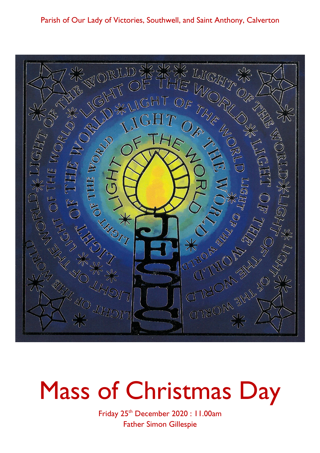

# Mass of Christmas Day

Friday 25th December 2020: II.00am **Father Simon Gillespie**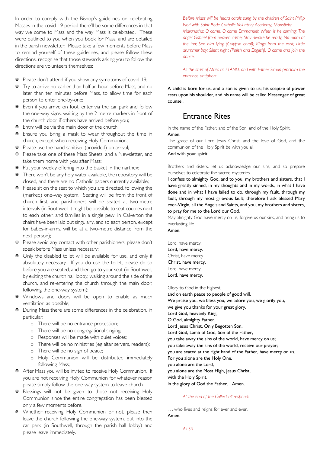In order to comply with the Bishop's guidelines on celebrating Masses in the covid-19 period there'll be some differences in that way we come to Mass and the way Mass is celebrated. These were outlined to you when you book for Mass, and are detailed in the parish newsletter. Please take a few moments before Mass to remind yourself of these guidelines, and please follow these directions, recognise that those stewards asking you to follow the directions are volunteers themselves:

- **※** Please don't attend if you show any symptoms of covid-19;
- $\overline{∗}$  Try to arrive no earlier than half an hour before Mass, and no later than ten minutes before Mass, to allow time for each person to enter one-by-one;
- $\Phi$  Even if you arrive on foot, enter via the car park and follow the one-way signs, waiting by the 2 metre markers in front of the church door if others have arrived before you;
- $\overline{•}$  Entry will be via the main door of the church:
- $\Phi$  Ensure you bring a mask to wear throughout the time in church, except when receiving Holy Communion;
- $\Phi$  Please use the hand-sanitiser (provided) on arrival;
- $\overline{∗}$  Please take one of these Mass Sheets, and a Newsletter, and take them home with you after Mass;
- $\Phi$  Put your weekly offering into the basket in the narthex;
- There won't be any holy water available, the repository will be closed, and there are no Catholic papers currently available;
- $\overline{∗}$  Please sit on the seat to which you are directed, following the (marked) one-way system. Seating will be from the front of church first, and parishioners will be seated at two-metre intervals (in Southwell it might be possible to seat couples next to each other, and families in a single pew; in Calverton the chairs have been laid out singularly, and so each person, except for babes-in-arms, will be at a two-metre distance from the next person):
- \* Please avoid any contact with other parishioners; please don't speak before Mass unless necessary;
- $\Phi$  Only the disabled toilet will be available for use, and only if absolutely necessary. If you do use the toilet, please do so before you are seated, and then go to your seat (in Southwell, by exiting the church hall lobby, walking around the side of the church, and re-entering the church through the main door, following the one-way system);
- ₩ Windows and doors will be open to enable as much ventilation as possible;
- $\Phi$  During Mass there are some differences in the celebration, in particular:
	- o There will be no entrance procession;
	- o There will be no congregational singing;
	- o Responses will be made with quiet voices;
	- o There will be no ministries (eg altar servers, readers);
	- o There will be no sign of peace;
	- o Holy Communion will be distributed immediately following Mass;
- After Mass you will be invited to receive Holy Communion. If you are not receiving Holy Communion for whatever reason please simply follow the one-way system to leave church.
- **E** Blessings will not be given to those not receiving Holy Communion since the entire congregation has been blessed only a few moments before.
- \* Whether receiving Holy Communion or not, please then leave the church following the one-way system, out into the car park (in Southwell, through the parish hall lobby) and please leave immediately.

Before Mass will be heard carols sung by the children of Saint Philip Neri with Saint Bede Catholic Voluntary Academy, Mansfield: Maranatha; O come, O come Emmanuel; When is he coming; The angel Gabriel from heaven came; Stay awake be ready; No room at the inn; See him lying (Calypso carol); Kings from the east; Little drummer boy; Silent night (Polish and English); O come and join the  $d$ ance

As the start of Mass all STAND, and with Father Simon proclaim the entrance antiphon:

A child is born for us, and a son is given to us; his sceptre of power rests upon his shoulder, and his name will be called Messenger of great counsel.

## **Fntrance Rites**

In the name of the Father, and of the Son, and of the Holy Spirit. Amen

The grace of our Lord Jesus Christ, and the love of God, and the communion of the Holy Spirit be with you all.

And with your spirit.

Brothers and sisters, let us acknowledge our sins, and so prepare ourselves to celebrate the sacred mysteries.

I confess to almighty God, and to you, my brothers and sisters, that I have greatly sinned, in my thoughts and in my words, in what I have done and in what I have failed to do, through my fault, through my fault, through my most grievous fault; therefore I ask blessed Mary ever-Virgin, all the Angels and Saints, and you, my brothers and sisters, to pray for me to the Lord our God.

May almighty God have mercy on us, forgive us our sins, and bring us to everlasting life.

Amen.

Lord, have mercy. Lord, have mercy. Christ, have mercy. Christ, have mercy. Lord, have mercy. Lord, have mercy.

Glory to God in the highest,

and on earth peace to people of good will. We praise you, we bless you, we adore you, we glorify you, we give you thanks for your great glory, Lord God, heavenly King, O God, almighty Father. Lord Jesus Christ, Only Begotten Son, Lord God, Lamb of God, Son of the Father, you take away the sins of the world, have mercy on us; you take away the sins of the world, receive our prayer; you are seated at the right hand of the Father, have mercy on us. For you alone are the Holy One, you alone are the Lord, you alone are the Most High, Jesus Christ, with the Holy Spirit, in the glory of God the Father. Amen.

#### At the end of the Collect all respond:

... who lives and reigns for ever and ever. Amen.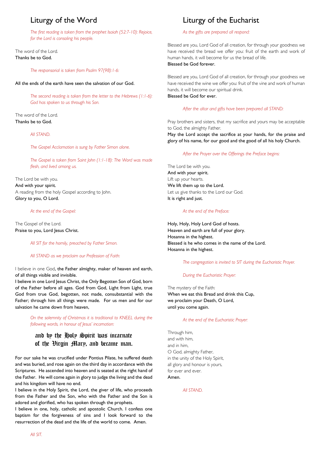# Liturgy of the Word

The first reading is taken from the prophet Isaiah (52:7-10): Rejoice, for the Lord is consoling his people.

The word of the Lord. Thanks be to God.

The responsorial is taken from Psalm 97(98): I-6:

All the ends of the earth have seen the salvation of our God.

The second reading is taken from the letter to the Hebrews (1:1-6): God has spoken to us through his Son.

#### The word of the Lord. Thanks be to God.

#### All STAND.

The Gospel Acclamation is sung by Father Simon alone.

The Gospel is taken from Saint John (1:1-18): The Word was made flesh, and lived among us.

The Lord be with you. And with your spirit. A reading from the holy Gospel according to John. Glory to you, O Lord.

#### At the end of the Gospel:

The Gospel of the Lord. Praise to you, Lord Jesus Christ.

All SIT for the homily, preached by Father Simon.

#### All STAND as we proclaim our Profession of Faith:

I believe in one God, the Father almighty, maker of heaven and earth, of all things visible and invisible.

I believe in one Lord Jesus Christ, the Only Begotten Son of God, born of the Father before all ages. God from God, Light from Light, true God from true God, begotten, not made, consubstantial with the Father: through him all things were made. For us men and for our salvation he came down from heaven,

> On the solemnity of Christmas it is traditional to KNEEL during the following words, in honour of Jesus' incamation:

### and by the Holy Spirit was incarnate of the Đirgin Mary, and became man.

For our sake he was crucified under Pontius Pilate, he suffered death and was buried, and rose again on the third day in accordance with the Scriptures. He ascended into heaven and is seated at the right hand of the Father. He will come again in glory to judge the living and the dead and his kingdom will have no end.

I believe in the Holy Spirit, the Lord, the giver of life, who proceeds from the Father and the Son, who with the Father and the Son is adored and glorified, who has spoken through the prophets.

I believe in one, holy, catholic and apostolic Church. I confess one baptism for the forgiveness of sins and I look forward to the resurrection of the dead and the life of the world to come. Amen.

# Liturgy of the Eucharist

#### As the gifts are prepared all respond:

Blessed are you. Lord God of all creation, for through your goodness we have received the bread we offer you: fruit of the earth and work of human hands, it will become for us the bread of life. Blessed he God forever

Blessed are you, Lord God of all creation, for through your goodness we have received the wine we offer you: fruit of the vine and work of human hands, it will become our spiritual drink. Blessed be God for ever.

#### After the altar and gifts have been prepared all STAND:

Pray brothers and sisters, that my sacrifice and yours may be acceptable to God, the almighty Father.

May the Lord accept the sacrifice at your hands, for the praise and glory of his name, for our good and the good of all his holy Church.

#### After the Prayer over the Offerings the Preface begins:

The Lord be with you. And with your spirit. Lift up your hearts. We lift them up to the Lord. Let us give thanks to the Lord our God. It is right and just.

#### At the end of the Preface:

Holy, Holy, Holy Lord God of hosts. Heaven and earth are full of your glory. Hosanna in the highest. Blessed is he who comes in the name of the Lord. Hosanna in the highest.

The congregation is invited to SIT during the Eucharistic Prayer.

#### During the Eucharistic Prayer.

The mystery of the Faith: When we eat this Bread and drink this Cup, we proclaim your Death, O Lord, until you come again.

#### At the end of the Eucharistic Prayer:

Through him, and with him. and in him O God, almighty Father, in the unity of the Holy Spirit. all glory and honour is yours, for ever and ever.  $\Delta$ mon

#### All STAND.